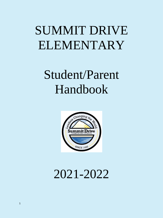# SUMMIT DRIVE ELEMENTARY

# Student/Parent Handbook



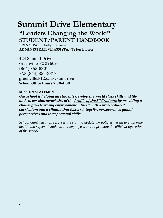# **Summit Drive Elementary**

# **"Leaders Changing the World" STUDENT/PARENT HANDBOOK**

**PRINCIPAL: Kelly Hellams ADMINISTRATIVE ASSISTANT: Jan Barrett**

424 Summit Drive Greenville, SC 29609 (864) 355-8801 FAX (864) 355-8817 greenville.k12.sc.us/sumdrive **School Office Hours 7:30-4:00**

# **MISSION STATEMENT**

*Our school is helping all students develop the world class skills and life and career characteristics of the Profile of the SC Graduate by providing a challenging learning environment infused with a project-based curriculum and a climate that fosters integrity, perseverance global perspectives and interpersonal skills.*

*School administration reserves the right to update the policies herein to ensurethe health and safety of students and employees and to promote the efficient operation of the school.*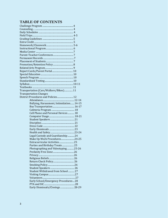# **TABLE OF CONTENTS**

| Transportation (Cars/Walkers/Bikes) 11   |  |
|------------------------------------------|--|
| <b>Transportation Changes</b>            |  |
| District Procedures and Policies 12      |  |
|                                          |  |
| Bullying, Harassment, Intimidation 14-15 |  |
|                                          |  |
|                                          |  |
| Cell Phone and Personal Devices 18       |  |
|                                          |  |
|                                          |  |
|                                          |  |
|                                          |  |
|                                          |  |
|                                          |  |
| Legal Custody and Guardianship  24       |  |
| Make Up Work Procedures24-25             |  |
|                                          |  |
| Parties and Birthday Treats 25           |  |
| Photographing and Videotaping25-26       |  |
|                                          |  |
|                                          |  |
|                                          |  |
|                                          |  |
|                                          |  |
|                                          |  |
| Student Withdrawal from School  27       |  |
|                                          |  |
|                                          |  |
| Early School/Emergency Procedures 28     |  |
|                                          |  |
| Early Dismissals/Closings 28-29          |  |
|                                          |  |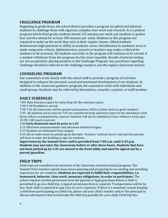# <span id="page-3-0"></span>**CHALLENGE PROGRAM**

Beginning in grade three, the school district provides a program for gifted and talented students to challenge them with rigorous, complex class work and research. It is a pullout program which third grade students attend 125 minutes per week and students in grades four and five attend for at least 200 minutes per week. Students in this program are required to make up the work they miss in their regular classes. Gifted students demonstrate high potential or ability in academic areas. Identification in academic areas is made using state criteria. Administrators, parents or teachers may make a referral for students to be screened. All students currently in the program will continue to be served. If a student withdraws from the program, he/she must requalify. Results of private testing are not accepted for placing students in the Challenge Program. Any questions regarding Challenge should be referred to the challenge teachers, not the regular classroom teacher.

# **COUNSELING PROGRAM**

Our counselors work closely with the school staff to provide a program of activities designed to enhance the personal, social and emotional development of our students. In addition to the classroom guidance program, the counselors work with individuals and small groups. Students may be referred by themselves, a teacher, a parent, or staff member.

# <span id="page-3-1"></span>**DAILY SCHEDULES**

7:00: Main Entrance opens for early drop off. Bus entrance opens.

7:00-7:40 Breakfast is served.

7:30-7:45 All classrooms will be opened and teachers will be at their doors to greet students. 7:45- All students not in class by 7:45 are considered tardy and must report to the attendance clerk (front office) accompanied by a parent. Students will not be admitted to class without a tardy pass. 10:30-1:00 Lunch is served.

2:00 **Early dismissals must be prior to 1:45**

2:15 Afternoon announcements and afternoon dismissal begins.

2:15 Students are dismissed from campus

2:45 All car riders must be picked up by this time. Teachers' contract hours' end and late parents will have to enter the building to sign out students.

**Supervision by the Summit Drive staff is provided from 7:00 a.m. until 2:45 p.m. Students may not enter the classrooms before or after these hours. Students that have not been picked up by 2:45 are moved to the front lobby and must be signed out by a parent/guardian.**

# <span id="page-3-2"></span>**FIELD TRIPS**

Field trips are considered an extension of the classroom and instructional program. The Summit Drive teachers spend many hours planning and preparing for an exciting and enriching experience for our students. **Students are expected to fulfill their responsibilities, i.e. homework, behavior, class work, monetary obligations, in order to participate.** The school requires written permission from the parents or legal guardians before a child is permitted to go on a field trip. A signed permission form is required. Transportation will be by bus. Each child is expected to pay a fee to cover expenses. If there is a monetary reason keeping a child from participating in a field trip, please call your child's teacher and/or the principal to discuss alternatives that would make the field trip possible for your child. Field trip fees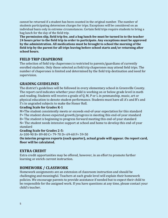cannot be returned if a student has been counted in the original number. The number of students participating determines charges for trips. Exceptions will be considered on an individual basis only in extreme circumstances. Certain field trips require students to bring a bag lunch for the day of the field trip.

**The permission slip, field trip fee, and a bag lunch fee must be turned in to the teacher 24 hours prior to the field trip in order to participate. Any exceptions must be approved by the administration. All medications must be brought to school the morning of the field trip by the parent for all trips leaving before school starts and/or returning after school hours.**

# **FIELD TRIP CHAPERONE**

The selection of field trip chaperones is restricted to parents/guardians of currently enrolled students. Only those selected as field trip chaperones may attend field trips. The number of chaperones is limited and determined by the field trip destination and need for supervision.

# <span id="page-4-0"></span>**GRADING GUIDELINES**

The district's guidelines will be followed in every elementary school in Greenville County. The report card indicates whether your child is working on or below grade level in math and reading. Students will receive a grade of Q, M, P or L in penmanship, music, art or physical education to denote student performance. Students must have all A's and B's and S's in ungraded subjects to make the Honor Roll.

#### **Grading Scale for Grades K-1**

M=The student consistently meets or exceeds end-of-year expectation for this standard P= The student shows expected growth/progress in meeting this end-of-year standard B= The student is beginning to progress forward meeting this end-of-year standard N= The student needs intensive support at school and home to develop this end-of-year standard

#### **Grading Scale for Grades 2-5:**

A=100-90 B= 89-80 C= 79-70 D= 69-60 F= 59-50

**On interim progress reports (each quarter), actual grade will appear. On report card, floor will be calculated.**

#### <span id="page-4-1"></span>**EXTRA CREDIT**

Extra credit opportunities may be offered, however, in an effort to promote further learning or enrich current instruction.

# <span id="page-4-2"></span>**HOMEWORK / CLASSWORK**

Homework assignments are an extension of classroom instruction and should be challenging and meaningful. Teachers at each grade level will explain their homework policies. We encourage parents to provide assistance if needed but to expect their child to be responsible for the assigned work. If you have questions at any time, please contact your child's teacher.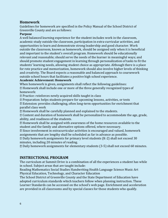# **Homework**

Guidelines for homework are specified in the Policy Manual of the School District of Greenville County and are as follows:

#### **Purpose**

A well balanced learning experience for the student includes work in the classroom, academic study outside the classroom, participation in extra-curricular activities, and opportunities to learn and demonstrate strong leadership and good character. Work outside the classroom, known as homework, should be assigned only when it is beneficial and important to the student's overall program. Homework should be educationally relevant and reasonable; should serve the needs of the learner in meaningful ways; and should promote student engagement in learning through personalization of tasks to fit the students' learning needs, allowing student choice as appropriate. Although there is a place for rote practice and memorization, homework should also involve higher levels of thinking and creativity. The Board expects a reasonable and balanced approach to coursework outside school hours that facilitates a positive high school experience.

#### **Academic Achievement: Homework**

When homework is given, assignments shall reflect the following guidelines:

Homework shall include one or more of the three generally recognized types of homework:

Practice: reinforces newly acquired skills taught in class

Preparation: helps students prepare for upcoming lessons, activities, or tests

Extension: provides challenging, often long-term opportunities for enrichment that parallel class work

Homework shall be carefully planned and explained to the students.

Content and duration of homework shall be personalized to accommodate the age, grade, ability, and readiness of the students.

 $\mathbb D$  Homework shall be assigned with awareness of the home resources available to the student and the family and alternative options offered, where necessary.

Since involvement in extracurricular activities is encouraged and valued, homework assignments that are lengthy shall be scheduled as far in advance as possible.

Daily homework assignments for primary level students (K-2) shall not exceed 30 minutes, including 20 minutes of reading.

Daily homework assignments for elementary students (3-5) shall not exceed 60 minutes.

#### <span id="page-5-0"></span>**INSTRUCTIONAL PROGRAM**

The curriculum at Summit Drive is a combination of all the experiences a student has while in school. Subject areas that are taught include:

Reading Mathematics Social Studies Handwriting Health Language Science Music Art Physical Education, Technology, and Character Education

The School District of Greenville County and the State Department of Education have adopted curriculum standards which teachers follow when planning instruction. These Learner Standards can be accessed on the school's web page. Enrichment and acceleration are provided in all classrooms and by special classes for those students who qualify.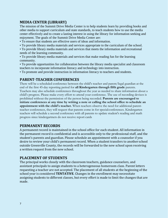# **MEDIA CENTER (LIBRARY)**

The mission of the Summit Drive Media Center is to help students learn by providing books and other media to support curriculum and state standards, to teach students how to use the media center effectively and to create a lasting interest in using the library for information seeking and enjoyment. The goals of the Summit Drive Media Center are:

- To ensure that students are effective users of ideas and information.
- To provide library media materials and services appropriate to the curriculum of the school.
- To provide library media materials and services that meets the information and recreational needs of the learning community.
- To provide library media materials and services that make reading fun for the learning community.
- To provide opportunities for collaboration between the library media specialist and classroom teachers to incorporate information literacy and technology into instruction.
- To promote and provide instruction in information literacy to teachers and students.

# <span id="page-6-0"></span>**PARENT-TEACHER CONFERENCES**

There will be a scheduled conference between the child's teacher and parent/legal guardian at the end of the first 45-day reporting period for **all Kindergarten through fifth grade** parents. Teachers may also schedule conferences throughout the year as needed to share information about a child's progress. Please make every effort to attend your conference. The use of recording devices is prohibited without the permission of the person being recorded. **Parents are encouraged to initiate conferences at any time by writing a note or calling the school office to schedule an appointment with the child's teacher.** When teachers observe the need for additional parentteacher conferences, they will request that parents come in for special conferences. Kindergarten teachers will schedule a second conference with all parents to update student's reading and math progress since kindergartners do not receive report cards

#### <span id="page-6-1"></span>**PERMANENT RECORDS**

A permanent record is maintained in the school office for each student. All information in the permanent record is confidential and is accessible only to the professional staff, and the student's parents and guardian. Please schedule an appointment with a counselor if you desire to review your child's permanent record. When a student transfers to anotherschool outside Greenville County, the records will be forwarded to the new school upon receiving a written request from the new school.

#### <span id="page-6-2"></span>**PLACEMENT OF STUDENTS**

The principal works closely with the classroom teachers, guidance counselors, and assistant principals to assign students to a heterogeneous homeroom class. Parent letters requesting a teacher are not accepted. The placement of all students at the beginning of the school year is considered **TENTATIVE**. Changes in the enrollment may necessitate assigning students to different classes, but every effort is made to limit the changes that are made.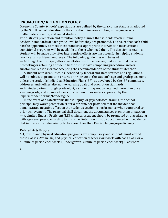# <span id="page-7-0"></span>**PROMOTION/ RETENTION POLICY**

Greenville County Schools' expectations are defined by the curriculum standards adopted by the S.C. Board of Education in the core discipline areas of English language arts, mathematics, science, and social studies.

The district's promotion and retention policy assures that students reach minimal academic standards at each grade level before they are promoted. To ensure that each child has the opportunity to meet these standards, appropriate intervention measures and transitional programs will be available to those who need them. The decision to retain a student will be made only after intervention efforts are unsuccessful in helping students reach certain achievement levels. The following guidelines will be used:

— Although the principal, after consultation with the teacher, makes the final decisionon promoting or retaining a student, he/she must have compelling procedural and/or substantive reasons for not accepting the recommendation of the student's teacher.

— A student with disabilities, as identified by federal and state statutes and regulations, will be subject to promotion criteria appropriate to the student's age and gradeplacement unless the student's Individual Education Plan (IEP), as developed by the IEP committee, addresses and defines alternative learning goals and promotion standards.

— In kindergarten through grade eight, a student may not be retained more than oncein any one grade, and no more than a total of two times unless approved by the Superintendent or his/her designee.

— In the event of a catastrophic illness, injury, or psychological trauma, the school principal may waive promotion criteria for him/her provided that the incident has demonstrated negative effect on the student's academic performance when compared to prior achievement. The principal shall document the circumstances prompting thisaction. — A Limited English Proficient (LEP)/migrant student should be promoted or placedalong with age-level peers, according to this Rule. Retention must be documented with evidence that indicates the determining factors are other than English language proficiency.

#### <span id="page-7-1"></span>**Related Arts Program**

Art, music, and physical education programs are compulsory and students must attend these classes. Art, music, and physical education teachers will work with each class for a 45-minute period each week. (Kindergarten 30 minute period each week). Classroom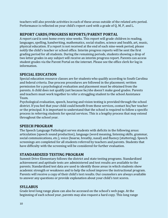teachers will also provide activities in each of these areas outside of the related arts period. Performance is reflected on your child's report card with a grade of Q, M, P, and L.

# **REPORT CARDS/PROGRESS REPORTS/PARENT PORTAL**

A report card is sent home every nine weeks. This report will grade children in reading, languages, spelling, handwriting, mathematics, social studies, science and health, art, music, physical education. If a report is not received at the end of each nine-week period, please notify the child's teacher or school office. Interim progress reports will be sent the first grading period for all students. During the remaining periods, students showing a drop of two letter grades in any subject will receive an interim progress report. Parents can access student grades via the Parent Portal on the internet. Please see the office clerk for log in information.

# <span id="page-8-0"></span>**SPECIAL EDUCATION**

Special education resource classes are for students who qualify according to South Carolina and federal criteria. Due process procedures are followed in the placement; written permission for a psychological evaluation and placement must be obtained from the parents. A child does not qualify just because he/she doesn't make good grades. Parents and teachers must work together to refer a struggling student to the school Assistance Team.

Psychological evaluation, speech, hearing and vision testing is provided through the school district. If you feel that your child could benefit from these services, contact his/her teacher or the principal. It is important to understand that the school is required to follow a specific process in referring students for special services. This is a lengthy process that may extend throughout the school year.

# <span id="page-8-1"></span>**SPEECH PROGRAM**

The Speech Language Pathologist serves students with deficits in the following areas: articulation (speech sound production), language (word meaning, listening skills, grammar, social communications, etc.), voice (hoarse, breathy, nasal) and fluency (stuttering). Speech screenings are completed for all students referred by teachers and parents. Students that have difficulty with the screening will be considered for further evaluation.

# **STANDARDIZED TESTING PROGRAM**

Summit Drive Elementary follows the district and state testing programs. Standardized achievement and aptitude tests are administered and test results are available to the parents. Standardized test data are used to identify those areas in which students show academic strength or weakness and to help the school improve the instructional program. Parents will receive a copy of their child's test results. Our counselors are always available to answer any questions or provide explanation about your child's test scores.

# <span id="page-8-2"></span>**SYLLABUS**

Grade level long range plans can also be accessed on the school's web page. At the beginning of each school year, parents may also request a hard copy. This long range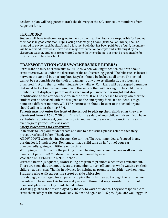academic plan will help parents track the delivery of the S.C. curriculum standards from August to June.

# <span id="page-9-0"></span>**TEXTBOOKS**

Students will have textbooks assigned to them by their teacher. Pupils are responsible for keeping their books in good condition. Pupils losing or damaging a book (textbook or library) shall be required to pay for such books. Should a lost text book that has been paid for be found, the money will be refunded. Textbooks serve as the major resource for concepts and skills taught by the classroom teacher. Students are permitted to take their texts home, but must be responsible for their care and return to school.

# **TRANSPORTATION (CARS/WALKERS/BIKE RIDERS)**

Patrols are on duty at crosswalks by 7:15AM. When walking to school, children should cross at crosswalks under the direction of the adult crossing guard. The bike rack is located between the car and bus parking lots. Bicycles should be locked at all times. The school cannot be responsible for the theft or damage to any bike. At dismissal, bus riders are dismissed first and then all other students by hallway. Car riders will be assigned a number that must be kept in the front window of the vehicle that will picking up the child. If a car number is not displayed, parent or designee must pull into the parking lot and show identification to the attendance clerk in the office. It will be checked to verify whether the student can be released with the designee on the emergency form. If a student is to go home in a different manner, WRITTEN permission should be sent to the school or you should call no later than 1:45PM.

**Parents may not enter the front of the school to pick up their children as they are dismissed from 2:15 to 2:30 pm.** This is for the safety of your child/children. If you have a scheduled appointment, you must sign in and wait in the main office until dismissal is over to go to your child's classroom.

#### **Safety Procedures for cardrivers:**

If an effort to keep our students safe and due to past issues, please refer to thesafety procedures listed below. Thank you.

•SLOW DOWN when driving through the car line. The recommended safe speed in any parking lot is 5 mph or less. Remember that a child can run in front of your car unexpectedly, giving you little reaction time.

•Dropping your child off in the parking lot and having them cross the crosswalk on their own is not permitted! Children must be accompanied by an adult.

•We are a NO CELL PHONE ZONE school.

•Breathe Better (B-squared) is anti-idling program to promote a healthier environment. There are signs that prompt drivers to remember to turn off engines while waiting on their children at dismissal. Thanks in advance for helping us promote a healthier environment. **Students who walk across the street or ride a bicycle:**

It is strongly encouraged for all parents to pick their children up through the car line. For parents who have done this for several years and those that may consider this form of dismissal, please note key points listed below:

•Crossing guards are not employed by the city to watch students. They are responsible to cross them safely at the crosswalk at 7:15 am and again at 2:15 pm. If you are walkingyour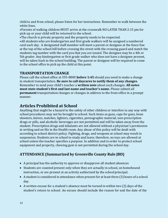child to and from school, please listen for her instructions. Remember to walk between the white lines.

•Parents of walking children MUST arrive at the crosswalk NO LATER THAN 2:15 pm for pick-up or your child will be returned to the school.

•The church is private property and the property needs to be respected.

•All students who are kindergarten and first grade walkers will be assigned a numbered card each day. A designated staff member will meet a parent or designee at the fence line at the top of the school hill before crossing the street with the crossing guard and match the students tag number with the card you that you are issued. The designee may be a 4th or 5th grader. Any kindergarten or first grade walker who does not have a designee present, will be taken back to the school building. The parent or designee will be required to come to the school office to pick up the child at this point.

# **TRANSPORTATION CHANGE**

Please call the school office at 355-8800 **before 1:45** should you need to make a change in student transportation. **Be sure to call daycares to notify them of any changes.** Remember to send your child's teacher a **written note** about such changes. **All notes must state student's first and last name and teacher's name.** Please submit all **permanent** transportation changes or changes in address to the front office in a prompt manner.

# **Articles Prohibited at School**

Anything that might be a hazard to the safety of other children or interfere in any way with school procedures may not be brought to school. Such items as guns, caps for guns, bean shooters, knives, matches, lighters, cigarettes, pornographic material, non-prescription drugs or pills, and alcoholic beverages are not permitted and will be taken away from the student. Prescription drugs and inhalants are not allowed without a physician's permission in writing and on file in the Health room. Any abuse of this policy will be dealt with according to school district policy. Fighting, drugs, and weapons at school may result in suspension. Students are in school to study and learn; therefore, no toys are allowed at school unless the teacher specifies a purpose. In addition and in order to protect school equipment and property, chewing gum is not permitted during the school day.

# **ATTENDANCE (Summarized by Greenville County Rule JBD)**

- A principal has the authority to approve or disapprove all student absences
- Students are counted present only when they are actually in school, on homebound instruction, or are present at an activity authorized by the school principal.
- A student is considered in attendance when present for at least three (3) hours of a school day.
- A written excuse for a student's absence must be turned in within two (2) days of the student's return to school. An excuse should include the reason for and the date of the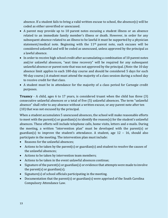absence. If a student fails to bring a valid written excuse to school, the absence(s) will be coded as either unverified or unexcused.

- A parent may provide up to 10 parent notes excusing a student illness or an absence related to an immediate family member's illness or death. However, in order for any subsequent absence related to an illness to be lawful it must be supported by a physician statement/medical note. Beginning with the  $11<sup>th</sup>$  parent note, such excuses will be considered unlawful and will be coded as unexcused, unless approved by the principal as a lawful absence.
- In order to receive high school credit after accumulating a combination of 10 parent notes and/or unlawful absences, "seat time recovery" will be required for any subsequent unlawful absence or parent note that was not approved by the principal.(*Note*: the 10 day absence limit applies to each 180-day course and should be considered 5 days for each 90-day course.) A student must attend the majority of a class session during a school day to receive credit for that class.
- A student must be in attendance for the majority of a class period for Carnegie credit purposes.

**Truancy** - A child, ages 6 to 17 years, is considered truant when the child has three (3) consecutive unlawful absences or a total of five (5) unlawful absences. The term "unlawful absence" shall refer to any absence without a written excuse, or any parent note after ten (10) that was not excused by the principal.

When a student accumulates 5 unexcused absences, the school will make reasonable efforts to meet with the parent(s) or guardian(s) to identify the reason(s) for the student's unlawful absences. These efforts will include telephone calls, home visits, letters and e-mails. During the meeting, a written "intervention plan" must be developed with the parent(s) or guardian(s) to improve the student's attendance. A student, age  $12 - 16$ , should also participate in the meeting. The intervention plan must include:

- Reasons for the unlawful absences;
- Actions to be taken by the parent(s) or guardian(s) and student to resolve the causes of the unlawful absences;
- Actions to be taken by intervention team members;
- Actions to be taken in the event unlawful absences continue;
- Signature of the parent(s) or guardian(s) or evidence that attempts were made to involve the parent(s) or guardian(s);
- Signature(s) of school officials participating in the meeting.
- Documentation that the parent(s) or guardian(s) were apprised of the South Carolina Compulsory Attendance Law.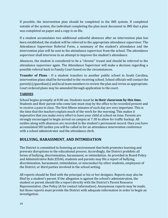If possible, the intervention plan should be completed in the IMS system. If completed outside of the system, the individual completing the plan must document in IMS that a plan was completed on paper and a copy is on file.

If a student accumulates two additional unlawful absences after an intervention plan has been established, the student will be referred to the appropriate attendance supervisor. The Attendance Supervisor Referral Form, a summary of the student's attendance and the intervention plan will be sent to the attendance supervisor from the school. The attendance supervisor shall intervene in an attempt to improve the student's attendance.

Absences, the student is considered to be a "chronic" truant and should be referred to the attendance supervisor again. The Attendance Supervisor will make a decision regarding a possible referral back to Family Court based on the circumstances.

**Transfer of Plans -** If a student transfers to another public school in South Carolina, intervention plans shall be forwarded to the receiving school. School officials will contact the parent(s)/guardian(s) and local team members to review the plan and revise as appropriate. Court ordered plans may be amended through application to the court.

#### **TARDIES**

School begins promptly at 8:00 am. Students must be **in their classroom by this time.**  Students and their parent who come late must stop by the office to be recorded present and to receive a pass to class. The first fifteen minutes of each day are very important. This is the time that the teachers explain much of the work for the morning. This makes it imperative that you make every effort to have your child at school on time. Parents are strongly encouraged to begin arrival on campus at 7:30 to allow for traffic backup. All tardies along with absences are recorded in the student's permanent record. Once you have accumulated SIX tardies you will be called in for an attendance intervention conference with a school administrator and the attendance clerk.

# **BULLYING, HARASSMENT, AND INTIMIDATION**

The District is committed to fostering an environment that both promotes learning and prevents disruptions to the educational process. Accordingly, the District prohibits all forms of bullying, discrimination, harassment, or intimidation. As provided in Board Policy and Administrative Rule JCDAG, students and parents may file a report of bullying, discrimination, harassment, intimidation, or misconduct by other students, employees of the District, or third parties involved in the school setting.

All reports should be filed with the principal or his or her designee. Reports may also be filed by a student's parent. If the allegation is against the school's administration, the student or parent should file a report directly with the District's Parent Resource Representative. (See Policy JA for contact information). Anonymous reports may be made, but those reports must provide the District with adequate information in order to begin an investigation.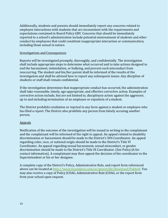Additionally, students and parents should immediately report any concerns related to employee interactions with students that are inconsistent with the requirements and expectations contained in Board Policy GBV. Concerns that should be immediately reported to a school's administration include potential mistreatment of students and other conduct by employees that could constitute inappropriate interaction or communication, including those sexual in nature.

#### Investigations and Consequences

Reports will be investigated promptly, thoroughly, and confidentially. The investigation shall include appropriate steps to determine what occurred and to take actions designed to end the harassment, intimidation, or bullying, and prevent such misconduct from reoccurring. The student and his/her parent shall be informed of the results of the investigation and shall be advised how to report any subsequent issues. Any discipline of students or staff shall remain confidential.

If the investigation determines that inappropriate conduct has occurred, the administration shall take reasonable, timely, age-appropriate, and effective corrective action. Examples of corrective action include, but are not limited to, disciplinary action against the aggressor, up to and including termination of an employee or expulsion of a student.

The District prohibits retaliation or reprisal in any form against a student or employee who has filed a report. The District also prohibits any person from falsely accusing another person.

#### Appeals

Notification of the outcome of the investigation will be issued in writing to the complainant and the complainant will be informed of the right to appeal. An appeal related to disability discrimination or harassment should be made to the District's 504 Coordinator. An appeal regarding color, race, or national origin should be made to the District's Title VI Coordinator. An appeal regarding sexual harassment, sexual misconduct, or gender discrimination should be made to the District's Title IX Coordinator. (See Policy JA for contact information). A complainant may then appeal the decision of the coordinator to the Superintendent or his or her designee.

A complete copy of the District's Policy, Administrative Rule, and report form referenced above can be located at [http://www.boarddocs.com/sc/greenville/Board.nsf/Public#.](http://www.boarddocs.com/sc/greenville/Board.nsf/Public) You may also receive a copy of Policy JCDAG, Administrative Rule JCDAG, or the report form from your school upon request.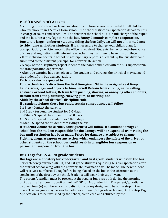#### <span id="page-14-0"></span>**BUS TRANSPORTATION**

According to state law, bus transportation to and from school is provided for all children who live more than 1.5 miles from school. The school district transportation department is in charge of routes and schedules. The driver of the school bus is in full charge of the pupils and the bus. It is a privilege to ride the bus. **Safety demands complete cooperation. Due to the large number of students riding the bus daily, we will not allow students** 

**to ride home with other students.** If it is necessary to change your child's plans for transportation, a written note to the office is required. Students' behavior and observance of rules and regulations will determine whether they continue to have this privilege.

• If misbehavior occurs, a school bus disciplinary report is filled out by the bus driverand submitted to the assistant principal for appropriate action.

• A copy of the disciplinary report is sent to the parent and filed with the bus supervisorin the transportation department.

• After due warning has been given to the student and parents, the principal may suspend the student from bus transportation.

**Each bus rider is expected to:**

**Follow the driver's directions the first time given, Sit in the assigned seat Keep hands, arms, legs, and objects to him/herself Refrain from cursing, name calling, gestures, or loud talking, Refrain from pushing, shoving, or annoying other students, Refrain from eating, drinking, chewing gum, or littering, and**

**Abide by the school district's discipline code**

**If a student violates these bus rules, certain consequences will follow:**

1st Step - Contact the parents

2nd Step - Suspend the student for 1-5 days

3rd Step - Suspend the student for 5-10 days

4th Step - Suspend the student for 10-15 days

th Step - Suspend the student from riding the bus

**If students violate these rules, consequences will follow. If a student damages a school bus, the student responsible for the damage will be suspended from riding the bus until restitution has been made. Prices for damage are subject to change. Fighting, drugs, weapons or any action, which endangers the safety of the driver or other students on the school bus could result in a lengthier bus suspension or permanent suspension from the bus.**

#### **Bus Tags for K5 & 1st grade students**

**Bus tags are mandatory for kindergarten and first grade students who ride the bus.**  For each newly enrolled 4K, 5K, and 1st grade student requesting bus transportation after the start of school, a tag with the appropriate information will be made. The new student will receive a numbered ID tag before being placed on the bus in the afternoon at the conclusion of the first day at school. Students will wear their tag all year.

The parent/guardian must be present at the regular bus stop both during the morning pickup and afternoon drop-off of their 4K, 5K for 1st grade child. The parent/guardian will be given four (4) numbered cards to distribute to any designee to be at the stop in their place. The designee may be another adult or student (5th grade or higher). A Bus Stop Tag Application is to be furnished by the school, completed and returned by the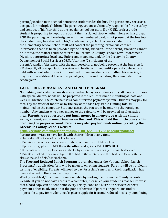parent/guardian to the school before the student rides the bus. The person may serve as a designee for multiple children. The parent/guardian is ultimately responsible for the safety and conduct of his/her child at the regular school bus stop. If a 4K, 5K, or first grade student is preparing to depart the bus at their assigned stop, whether alone or in a group, AND the parent/guardian/designee, with the numbered card, is not present at the bus top, the student may be returned to his/her elementary school. When a student is returned to the elementary school, school staff will contact the parent/guardian via contact information that has been provided by the parent/guardian. If the parent/guardian cannot be located, the matter could be referred to Greenville County Schools Law Enforcement Division, appropriate local Law Enforcement Agency, and/or the Greenville County Department of Social Services (DSS). After two (2) incidents of the parent/guardian/designee, with the numbered card, not being present at the bus stop for PM drop off, all transportation services will be discontinued until a parent conference is held with school administration. Should additional incidents occur after this meeting, it may result in additional loss of bus privileges, up to and including, the remainder of the school year.

#### **CAFETERIA - BREAKFAST AND LUNCH PROGRAM**

Nourishing, well-balanced meals are served each day for students and staff. Foods for those with special dietary needs will be prepared if the request is made in writing at least one week in advance. The cafeteria uses a computerized payment system. Students may pay for meals by the week or month or by the day at the cash register. A running total is maintained on the computer. Students access their account by entering their assigned number. Any student who owes money to the cafeteria will be provided an alternative meal. **Parents are requested to put lunch money in an envelope with the child's name, amount, and name of teacher on the front. This will aid the lunchroom staff in crediting the proper account. Parents may also pay for meals online by visiting the Greenville County Schools website:** 

**<http://gcsfans.com/index.php?sid=0511081654589176&page=prepaidacct>**

Parents are invited to have lunch with their children at any time. so he or she will be included in the lunch count.

- Parents are encouraged to be aware of the exact time their child eatslunch.
- Upon arriving, please **SIGN IN at the office and get a VISITOR'S BADGE**.
- If parents arrive early, please wait in the lobby area rather than going to your child'sroom.

• Parents are asked to say good-bye to the child in the cafeteria and the child is to leave with their class at the end of his/her lunchtime.

The **Free and Reduced Lunch Program** is available under the National School Lunch Program. An application form will be given to enrolling students. Parents will be notified in writing of eligibility. Parents will need to pay for a child's meal until their application has been returned to the school and approved.

Weekly breakfast/lunch menus are available by visiting the Greenville County Schools website. If you do not have access to a computer, please let your student's teacher know so that a hard copy can be sent home every Friday. Food and Nutrition Services expects payment either in advance or at the point of service. If parents or guardians find it impossible to pay for student meals, please apply for free and reduced meals by completing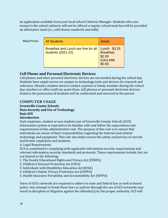an application available from your local school Cafeteria Manager. Students who owe money to the school cafeteria will not be offered a regular school meal but will be provided an alternative meal (i.e., cold cheese sandwich and milk).

Meal Prices

| <b>All Students</b>                                        | <b>Adults</b>                                                             |
|------------------------------------------------------------|---------------------------------------------------------------------------|
| Breakfast and Lunch are free for all<br>students (2021-22) | Lunch \$3.25<br><b>Breakfast</b><br>\$2.00<br><b>Extra Milk</b><br>\$0.65 |

# **Cell Phone and Personal Electronic Devices**

Cell phones and other personal electronic devices are not needed during the school day. Students have ample access on campus to technology tools and devices for research and reference. Should a student need to contact a parent or family member during the school day, teachers or office staff can assist them. Cell phones or personal electronic devices found in the possession of students will be confiscated and returned to the parent.

# <span id="page-16-0"></span>**COMPUTER USAGE**

#### **Greenville County Schools Data Security and Use of Technology Rule EFE**

#### **Introduction**

Each employee, student or non-student user of Greenville County Schools (GCS) information system is expected to be familiar with and follow the expectations and requirements of this administrative rule. The purpose of this rule is to ensure that individuals are aware of their responsibilities regarding the Internet and related technology and equipment. This rule also helps ensure the safety and privacy of current and former employees and students.

A. Legal Requirements

GCS is committed to complying with applicable information security requirements and relevant information security standards and protocols. These requirements include, but are not limited to the following:

- 1. The Family Educational Rights and Privacy Act (FERPA)
- 2. Children's Internet Protection Act (CIPA)
- 3. Individuals with Disabilities Education Act(IDEA)
- 4. Children's Online Privacy Protection Act(COPPA)
- 5. Health Insurance Portability and Accountability Act (HIPPA)

Users of GCS's network are required to adhere to state and federal law as well as board policy. Any attempt to break those laws or policies through the use of GCS networks may result in discipline or litigation against the offender(s) by the proper authority. GCS will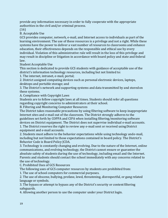provide any information necessary in order to fully cooperate with the appropriate authorities in the civil and/or criminal process.

(16)

B. Acceptable Use

GCS provides computer, network, e-mail, and Internet access to individuals as part of the learning environment. The use of these resources is a privilege and not a right. While these systems have the power to deliver a vast number of resources to classrooms and enhance education, their effectiveness depends on the responsible and ethical use by every individual. Violation of this administrative rule will result in the loss of this privilege and may result in discipline or litigation in accordance with board policy and state and federal law.

Student Acceptable Use

This section is dedicated to provide GCS students with guidance of acceptable use of the district's information technology resources, including but not limited to:

1. The internet, intranet, e-mail, portal;

2. District assigned computing devices such as personal electronic devices, laptops, desktops and portable storage; and

3. The District's network and supporting systems and data transmitted by and storedon these systems.

A. Compliance with Copyright Laws

Students are to follow copyright laws at all times. Students should refer all questions regarding copyright concerns to administrators at their school.

B. Filtering and Monitoring Computer Resources

The District takes reasonable precautions by using filtering software to keep inappropriate Internet sites and e-mail out of the classroom. The District strongly adheres to the guidelines set forth by COPPA and CIPA when installing filtering/monitoring software devices on District equipment. The District does not supervise individual e-mail accounts. 1. The District reserves the right to review any e-mail sent or received usingDistrict equipment and e-mail accounts.

2. Students must adhere to the behavior expectations while using technology ande-mail, including but not limited to those expectations contained in board policy. The District's Behavior Code is Board Policy JCDA.

3. Technology is constantly changing and evolving. Due to the nature of the Internet, online communications, and evolving technology, the District cannot ensure or guarantee the absolute safety of students during the use of technology, including email and the Internet. Parents and students should contact the school immediately with any concerns related to the use of technology.

C. Prohibited Uses of GCS Resources

The following uses of GCS computer resources by students are prohibited from:

1. The use of school computers for commercial purposes.

2. The use of obscene, bullying, profane, lewd, threatening, disrespectful, or gang related language or symbols.

3. The bypass or attempt to bypass any of the District's security or contentfiltering safeguards.

4. Allowing another person to use the computer under your District login.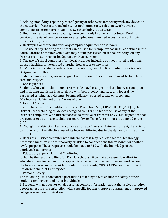5. Adding, modifying, repairing, reconfiguring or otherwise tampering with any deviceon the network infrastructure including, but not limited to: wireless network devices, computers, printers, servers, cabling, switches/hubs, routers, etc.

6. Unauthorized access, overloading, more commonly known as Distributed Denial of Service or Denial of Service, or use, or attempted unauthorized access or use of District information systems.

7. Destroying or tampering with any computer equipment or software.

8. The use of any "hacking tools" that can be used for "computer hacking", as defined in the South Carolina Computer Crime Act, may not be possessed on school property, on any District premise, or run or loaded on any District system.

9. The use of school computers for illegal activities including but not limited to planting viruses, hacking, or attempted unauthorized access to any system.

10. Violating any state for federal law or regulation, board policy or administrative rule. D. Agreement of Use

Students, parents and guardians agree that GCS computer equipment must be handled with care and respect.

E. Consequences

Students who violate this administrative rule may be subject to disciplinary action up to and including expulsion in accordance with board policy and state and federal law. Suspected criminal activity must be immediately reported to law enforcement. GCS Internet Safety and Other Terms of Use

A. General Access

In compliance with the Children's Internet Protection Act ("CIPA"), U.S.C. §254 (h), the District uses technological devices designed to filter and block the use of any of the District's computers with Internet access to retrieve or transmit any visual depictions that are categorized as obscene, child pornography, or "harmful to minors" as defined in the CIPA.

1. Though the District makes reasonable efforts to filter such Internet content, the District cannot warrant the effectiveness of its Internet filtering due to the dynamic nature of the Internet.

2. Users of a District computer with Internet access may request that the "technology protection measures" be temporarily disabled to conduct bona fide research foranother lawful purpose. These requests should be made to ETS with the knowledge of that employee's supervisor.

B. Education, Supervision, and Monitoring

It shall be the responsibility of all District school staff to make a reasonable effort to educate, supervise, and monitor appropriate usage of online computer network access to the Internet in accordance with this administrative rule, CIPA, COPPA, and the Protecting Children in the 21st Century Act.

C. Personal Safety

The following list is considered precautions taken by GCS to ensure the safety of their students, employees, and other individuals.

1. Students will not post or email personal contact information about themselves or other people unless it is in conjunction with a specific teacher-approved assignment or approved college/career communication.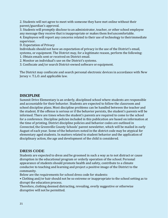2. Students will not agree to meet with someone they have met online without their parent/guardian's approval.

3. Students will promptly disclose to an administrator, teacher, or other school employee any message they receive that is inappropriate or makes them feel uncomfortable.

4. Employees will report any concerns related to their use of technology to theirimmediate supervisor.

D. Expectation of Privacy

Individuals should not have an expectation of privacy in the use of the District's email, systems, or equipment. The District may, for a legitimate reason, perform the following:

- 1. Obtain emails sent or received on District email.
- 2. Monitor an individual's use on the District's systems.
- 3. Confiscate and/or search District-owned software or equipment.

The District may confiscate and search personal electronic devices in accordance with New Jersey v. T.L.O. and applicable law.

# <span id="page-19-0"></span>**DISCIPLINE**

Summit Drive Elementary is an orderly, disciplined school where students are responsible and accountable for their behavior. Students are expected to follow the classroom and school discipline plans. Most discipline problems can be handled between the teacher and the student. If the offense is serious or if the behavior persists, the student's parents will be informed. There are times when the student's parents are required to come to the school for a conference. Discipline policies included in this publication are based on information at the time of printing. District discipline policies and behavior codes are outlined in *Connected*, the Greenville County Schools' parent newsletter, which will be mailed in early August of each year. Some of the behaviors noted in the district code may be atypical for elementary aged students. In matters related to student behavior and the application of disciplinary action, the age and development of the child is considered.

#### <span id="page-19-1"></span>**DRESS CODE**

Students are expected to dress and be groomed in such a way as to not distract or cause disruption in the educational program or orderly operation of the school. Personal appearance of students should promote health and safety, contribute to a climate conducive to teaching and learning and project a positive image of the District to the community.

Below are the requirements for school dress code for students:

• Clothing and/or hair should not be so extreme or inappropriate to the school setting as to disrupt the education process.

Therefore, clothing deemed distracting, revealing, overly suggestive or otherwise disruptive will not be permitted.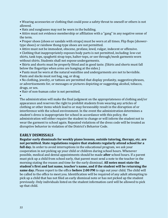• Wearing accessories or clothing that could pose a safety threat to oneself or others is not allowed.

• Hats and sunglasses may not be worn in the building.

• Attire must not evidence membership or affiliation with a "gang" in any negative sense of the term.

• Proper shoes (shoes or sandals with straps) must be worn at all times. Flip flops (showertype shoes) or rainbow thong-type shoes are not permitted.

• Attire must not be immodest, obscene, profane, lewd, vulgar, indecent or offensive.

• Clothing that inappropriately exposes body parts is not permitted, including: low-cut shirts, tank tops, spaghetti strap tops, halter-tops, or see through/mesh garments worn without shirts. Students shall not expose undergarments.

• Skirts and shorts must be properly fitted and in good taste. (Skirts and shorts must fall below the fingertips when arms are hanging at the sides.)

• Pants must be worn at the natural waistline and undergarments are not to bevisible. Pants and slacks must not bag, sag, or drag.

• No clothing, jewelry, or tattoos are permitted that display profanity, suggestivephrases, or advertisements for, or messages or pictures depicting or suggesting alcohol, tobacco, drugs, or sex.

• Hair of non-human color is not permitted.

•

The administration will make the final judgment on the appropriateness of clothing and/or appearance and reserves the right to prohibit students from wearing any articles of clothing or other items which lead to or may foreseeably result in the disruption of or interference with the school environment. In the event the administration determines a student's dress is inappropriate for school in accordance with this policy, the administration will either require the student to change or will inform the student not to wear the garment to school again. Repeated violations of the dress code will be treated as disruptive behavior in violation of the District's Behavior Code.

# <span id="page-20-0"></span>**EARLY DISMISSALS**

**Regular early dismissals for weekly piano lessons, outside tutoring, therapy, etc. are not permitted. State regulations require that students regularly attend school for a full day.** In order to avoid interruptions in the educational program, we ask your cooperation in not picking up your child or children during school hours. Whenever possible, medical and dental appointments should be made **after** school hours. If a parent must pick up a child from school early, that parent must send a note to the teacher in the morning stating the reason and time for the early dismissal. **All notes must state the student's first and last name, teacher's name, and if the student will be returning the same day.** Please report to the office **before 2:00 PM** to sign out your child. The child will be called to the office to meet you. Identification will be required of any adult attempting to pick up a child that has not filed an early dismissal note or has not picked up the student previously. Only individuals listed on the student information card will be allowed to pick up that child.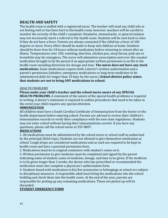# <span id="page-21-0"></span>**HEALTH AND SAFETY**

The health room is staffed with a registered nurse. The teacher will send any child who is not feeling well or has been hurt to the health room; however, teachers will be careful to monitor the severity of the child's complaint. Headache, stomachache, or general malaise may not necessarily merit a referral to the health room. Students will be sent back to class if they do not have a fever. Parents are always contacted if the child has a fever of 100 degrees or more. Every effort should be made to keep sick children at home. Students should be fever-free for 24 hours without medication before returning to school after an illness. Temperatures over 100, vomiting, diarrhea, chicken pox, strep throat, pink eye or bronchitis may be contagious. The nurse will administer prescription and over-the-counter medication brought in by the parent if an appropriate written permission is on file in the health room including directions for dosage and time. **The nurse does not have any stock medications.** Some medications require both a doctor's written authorization and a parent's permission (inhalers, emergency medications or long-term medicines to be administered daily for longer than 10 days by the nurse.) **School district policy states that students are not to bring ANY medications to school.**

#### *HEALTH PROBLEMS*

#### **Please make your child's teacher and the school nurse aware of any SPECIAL**

**HEALTH PROBLEMS.** A statement of the nature of the special health problems is required in writing. A doctor's statement is required to outline procedures that need to be taken in the event your child requires any special attention.

#### **IMMUNIZATION**

All children must have a South Carolina Certificate of Immunization from the doctor or the health department before entering school. Parents are advised to review their children's immunization records to verify their compliance with the new state regulations. Students may not enter school without having their immunizations current. If you have any questions, please call the school nurse at 355-8807.

#### **MEDICATIONS**

1. All medications must be administered by the school nurse or school staff as authorized by the principal (field trips). Students are not allowed to give themselves medication at school. Cough drops are considered medications and as such are required to be kept in health room and have a parental permission form.

2. Medications must be in original containers with student's name on it.

3. Written permission to give medicine must be completed and signed by the parent indicating name of student, name of medicine, dosage, and time to be given. If the medicine is to be given longer than 2 weeks, the doctor who has prescribed or recommended the medication must also complete a physician's authorization form.

4. Students found with medication in his/her possession or belongings at school are subject to disciplinary measures. A responsible adult must bring the medications into the school building and check them into the health room. At the end of the year, parents are responsible for picking up any remaining medications. Those not picked up will be discarded.

#### **STUDENT EMERGENCY FORM**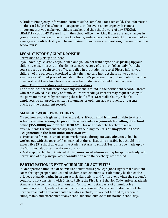A Student Emergency Information Form must be completed for each child. The information on this card helps the school contact parents in the event an emergency. It is most important that you make your child's teacher and the school aware of any SPECIAL HEALTH PROBLEMS. Please inform the school office in writing if there are any changes in your address, phone number at work or home, and/or persons to contact in the event of an emergency. Confidentiality will be maintained. If you have any questions, please contact the school nurse.

# **LEGAL CUSTODY / GUARDIANSHIP**

#### Permission to pick up a student

If you have legal custody of your child and you do not want anyone else picking up your child, you must note this on the dismissal card. A copy of the proof of custody from the court must be brought to the office and filed in the student's record. Please inform your children of the persons authorized to pick them up, and instruct them not to go with anyone else. Without proof of custody in the child's permanent record and notation on the dismissal card, the school has no recourse but to dismiss the child to either parent. Family Court Proceedings and Custody Proceedings

The official school statement about any student is found in the permanent record. Parents who are involved in custody or family court proceedings. Parents may request a copy of the permanent record by contacting the school office. Greenville County Schools' employees do not provide written statements or opinions about students or parents outside of the permanent record.

# <span id="page-22-0"></span>**MAKE-UP WORK PROCEDURES**

Missed homework is given for 2 or more days. **If your child is ill and unable to attend school, you may arrange to pick-up his/her daily assignments by calling the school office (355-8800) no later than 8:30 AM.** This will enable the teacher to make arrangements throughout the day to gather the assignments. **You may pick up these assignments in the front office after 2:30 PM.**

1. Provisions for make- up of school work missed during **excused absences** shall be worked out with the teacher(s) concerned at the earliest time possible but should not exceed five (5) school days after the student returns to school. Tests must be made up by the 5th school day after the absence occurs.

2. Make up of schoolwork missed during **unexcused absences** may be approved only with permission of the principal after consultation with the teacher(s) concerned.

# **PARTICIPATION IN EXTRACURRICULAR ACTIVITIES**

Student participation in extracurricular activities is a privilege (not a right) that a student earns through proper conduct and academic achievement. A student may be denied the privilege of participating in an extracurricular activity and/or an event when the student's conduct is not consistent with District Policy; the District's Behavior Code and/or academic standards; the conduct expectations and/or academic standards of Summit Drive Elementary School; and/or the conduct expectations and/or academic standards of the particular activity. Extracurricular activities include, but are not limited to, academic clubs/teams, and attendance at any school function outside of the normal school day.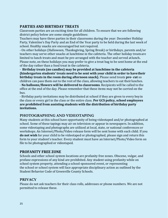# <span id="page-23-0"></span>**PARTIES AND BIRTHDAY TREATS**

Classroom parties are an exciting time for all children. To ensure that we are following district policy below are some simple guidelines:

Teachers may have three parties in their classrooms during the year: December Holiday Party, Valentine's Day Party and an End of the Year party to be held during the last week of school. Healthy snacks are encouraged but not required.

- On other holidays (Halloween, Thanksgiving, Spring Break) or birthdays, parents and/or teachers may serve other snacks at lunchtime in the cafeteria. The other holiday treatsare limited to lunch treats and must be pre-arranged with the teacher and served atlunch**.** Please note, on these holidays you may prefer to give a treat bag to be sent home at the end of the day rather than a food treat in the cafeteria.

- **Birthday treats (no candles) may be provided at lunchtime in the cafeteria (kindergarten students' treats need to be sent with your child in order to havetheir birthday treats in the room during afternoon snack).** Please send treats **pre- cut** so children can pass them out to the rest of the class, allowing teachers to eat theirlunches. - **No balloons/flowers will be delivered to classrooms**. Recipients will be called to the office at the end of the day. Please remember that these items may not be carried on the bus.

- Birthday party invitations may be distributed at school if they are given to every boyin the class or every girl in the class or the entire class. **Per GCS policy, school employees are prohibited from assisting students with the distribution of birthday party invitations.**

# <span id="page-23-1"></span>**PHOTOGRAPHING AND VIDEOTAPING**

Many students at this school have opportunity of being videotaped and/or photographed at school. Some of these tapings may air on television or appear in newspapers. In addition, some videotaping and photographs are utilized at local, state, or national conferences or workshops. An Internet/Photo/Video release form will be sent home with each child. If you **do not wish** for your child to be videotaped or photographed, please sign and return this form to your student's teacher. Every student must have an Internet/Photo/Video form on file to be photographed or videotaped.

#### <span id="page-23-2"></span>**PROFANITY FREE ZONE**

Schools and other school system locations are profanity free zones. Obscene, vulgar, and profane expressions of any kind are prohibited. Any student using profanity while on school system property, attending a school-sponsored event, or representing the school or school system will face appropriate disciplinary action as outlined by the Student Behavior Code of Greenville County Schools.

#### <span id="page-23-3"></span>**PRIVACY**

Please do not ask teachers for their class rolls, addresses or phone numbers. We are not permitted to release these.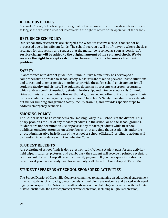### <span id="page-24-0"></span>**RELIGIOUS BELIEFS**

Greenville County Schools support the right of individual students to express their religious beliefs as long as the expression does not interfere with the right of others or the operation of the school.

# <span id="page-24-1"></span>**RETURN CHECK POLICY**

Our school and/or cafeteria are charged a fee when we receive a check that cannot be processed due to insufficient funds. The school secretary will notify anyone whose check is returned for this reason and request that the matter be resolved as soon as possible. **A service charge will be added to the original amount of the returned check. We do reserve the right to accept cash only in the event that this becomes a frequent problem.**

# **SAFETY**

In accordance with district guidelines, Summit Drive Elementary has developed a comprehensive approach to school safety. Measures are taken to prevent unsafe situations and to respond to emergencies in order to provide the safest school environment for all students, faculty and visitors. The guidance department presents classroom programs, which address conflict resolution, student leadership, and interpersonal skills. Summit Drive administrators schedule fire, earthquake, tornado, and other drills on a regular basis to train students in emergency preparedness. The school's Safety Plan also offers a detailed outline for building and grounds safety, faculty training, and provides specific steps to address emergency scenarios.

#### <span id="page-24-2"></span>**SMOKING POLICY**

The School Board has established a No Smoking Policy in all schools in the district. This policy prohibits the use of any tobacco products in the school or on the school grounds. Students are not permitted to use or possess any tobacco products while in school buildings, on school grounds, on school buses, or at any time that a student is under the direct administrative jurisdiction of the school or school officials. Disciplinary actions will be handled in accordance with the Behavior Code.

#### **STUDENT RECEIPTS**

All receipting of school funds is done electronically. When a student pays for any activity field trips, insurance, pictures, and yearbooks - the student will receive a printed receipt. It is important that you keep all receipts to verify payment. If you have questions about a receipt or if you have already paid for an activity, call the school secretary at 355-8806.

# **STUDENT SPEAKERS AT SCHOOL SPONSORED ACTIVITIES**

The School District of Greenville County is committed to maintaining an educational environment in which students of all backgrounds, beliefs and religions are welcome and treated with equal dignity and respect. The District will neither advance nor inhibit religion. In accord with the United States Constitution, the District protects private expression, including religious expression,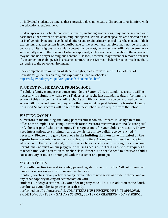by individual students as long as that expression does not create a disruption to or interfere with the educational environment.

Student speakers at school-sponsored activities, including graduations, may not be selected on a basis that either favors or disfavors religious speech. Where student speakers are selected on the basis of genuinely neutral, evenhanded criteria and retain primary control over the content of their expression, that expression is not attributable to the school and therefore may not be restricted because of its religious or secular content. In contrast, where school officials determine or substantially control the content of what is expressed, such speech is attributable to the school and may not include prayer or religious content. A school, however, mayprevent or remove a speaker if the content of their speech is obscene, contrary to the District's behavior code or substantially disruptive to the school environment.

For a comprehensive overview of student's rights, please review the U.S. Department of Education's guidelines on religious expression in public schools at: <https://ed.gov/policy/gen/guid/religionandschools/index.html>

# <span id="page-25-0"></span>**STUDENT WITHDRAWAL FROM SCHOOL**

If a child's family changes residence, outside the Summit Drive attendance area, it will be necessary to submit in writing two (2) days prior to the last attendance day, informing the school of this change in status. All textbooks and library books are to be returned to the school. All borrowed lunch money and other fees must be paid before the transfer form can be issued. School records will be sent to the next school upon request from the school.

#### <span id="page-25-1"></span>**VISITING CAMPUS**

All visitors in the building, including parents and school volunteers, must sign in at the office at the Simple Track computer workstation. Visitors must wear either a "visitor pass" or "volunteer pass" while on campus. This regulation is for your child's protection. Thiswill keep interruptions to a minimum and allow visitors in the building to be reached if necessary. **Please only go to the areas in the building that you have indicated on the sign-in form.** Parents are welcome at school any time. Arrangements must be made in advance with the principal and/or the teacher before visiting or observing in a classroom. Parents may not visit on our playground during recess time. This is a time that requires a teacher's undivided attention to his/her class. If there is a specific need to observe a child's social activity, it must be arranged with the teacher and principal.

#### <span id="page-25-2"></span>**VOLUNTEERS**

The South Carolina General Assembly passed legislation requiring that "all volunteers who work in a school on an interim or regular basis as

mentors, coaches, or any other capacity, or volunteers who serve as student chaperone or any other capacity having direct interaction with

students" undergo a National Sex Offender Registry check. This is in addition to the South Carolina Sex Offender Registry checks already

performed on all volunteers. ALL VOLUNTEERS MUST RECEIVE DISTRICT APPROVAL PRIOR TO VOLUNTEERING AT ANY SCHOOL/CENTER OR CHAPERONING ANY SCHOOL